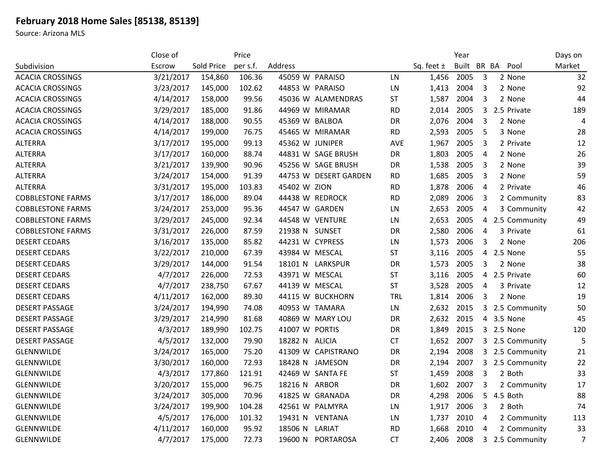## **February 2018 Home Sales [85138, 85139]**

Source: Arizona MLS

|                          | Close of  |            | Price    |                       |            |                | Year        |   |                 | Days on        |
|--------------------------|-----------|------------|----------|-----------------------|------------|----------------|-------------|---|-----------------|----------------|
| Subdivision              | Escrow    | Sold Price | per s.f. | Address               |            | Sq. feet $\pm$ | Built BR BA |   | Pool            | Market         |
| <b>ACACIA CROSSINGS</b>  | 3/21/2017 | 154,860    | 106.36   | 45059 W PARAISO       | LN.        | 1,456          | 2005        | 3 | 2 None          | 32             |
| <b>ACACIA CROSSINGS</b>  | 3/23/2017 | 145,000    | 102.62   | 44853 W PARAISO       | LN         | 1,413          | 2004        | 3 | 2 None          | 92             |
| <b>ACACIA CROSSINGS</b>  | 4/14/2017 | 158,000    | 99.56    | 45036 W ALAMENDRAS    | <b>ST</b>  | 1,587          | 2004        | 3 | 2 None          | 44             |
| <b>ACACIA CROSSINGS</b>  | 3/29/2017 | 185,000    | 91.86    | 44969 W MIRAMAR       | <b>RD</b>  | 2,014          | 2005        | 3 | 2.5 Private     | 189            |
| <b>ACACIA CROSSINGS</b>  | 4/14/2017 | 188,000    | 90.55    | 45369 W BALBOA        | DR         | 2,076          | 2004        | 3 | 2 None          | 4              |
| <b>ACACIA CROSSINGS</b>  | 4/14/2017 | 199,000    | 76.75    | 45465 W MIRAMAR       | <b>RD</b>  | 2,593          | 2005        | 5 | 3 None          | 28             |
| <b>ALTERRA</b>           | 3/17/2017 | 195,000    | 99.13    | 45362 W JUNIPER       | AVE        | 1,967          | 2005        | 3 | 2 Private       | 12             |
| <b>ALTERRA</b>           | 3/17/2017 | 160,000    | 88.74    | 44831 W SAGE BRUSH    | <b>DR</b>  | 1,803          | 2005        | 4 | 2 None          | 26             |
| <b>ALTERRA</b>           | 3/21/2017 | 139,900    | 90.96    | 45256 W SAGE BRUSH    | DR         | 1,538          | 2005        | 3 | 2 None          | 39             |
| <b>ALTERRA</b>           | 3/24/2017 | 154,000    | 91.39    | 44753 W DESERT GARDEN | <b>RD</b>  | 1,685          | 2005        | 3 | 2 None          | 59             |
| <b>ALTERRA</b>           | 3/31/2017 | 195,000    | 103.83   | 45402 W ZION          | <b>RD</b>  | 1,878          | 2006        | 4 | 2 Private       | 46             |
| <b>COBBLESTONE FARMS</b> | 3/17/2017 | 186,000    | 89.04    | 44438 W REDROCK       | <b>RD</b>  | 2,089          | 2006        | 3 | 2 Community     | 83             |
| <b>COBBLESTONE FARMS</b> | 3/24/2017 | 253,000    | 95.36    | 44547 W GARDEN        | LN         | 2,653          | 2005        | 4 | 3 Community     | 42             |
| <b>COBBLESTONE FARMS</b> | 3/29/2017 | 245,000    | 92.34    | 44548 W VENTURE       | LN         | 2,653          | 2005        | 4 | 2.5 Community   | 49             |
| <b>COBBLESTONE FARMS</b> | 3/31/2017 | 226,000    | 87.59    | 21938 N SUNSET        | <b>DR</b>  | 2,580          | 2006        | 4 | 3 Private       | 61             |
| <b>DESERT CEDARS</b>     | 3/16/2017 | 135,000    | 85.82    | 44231 W CYPRESS       | LN         | 1,573          | 2006        | 3 | 2 None          | 206            |
| <b>DESERT CEDARS</b>     | 3/22/2017 | 210,000    | 67.39    | 43984 W MESCAL        | <b>ST</b>  | 3,116          | 2005        | 4 | 2.5 None        | 55             |
| <b>DESERT CEDARS</b>     | 3/29/2017 | 144,000    | 91.54    | 18101 N LARKSPUR      | <b>DR</b>  | 1,573          | 2005        | 3 | 2 None          | 38             |
| <b>DESERT CEDARS</b>     | 4/7/2017  | 226,000    | 72.53    | 43971 W MESCAL        | ST         | 3,116          | 2005        | 4 | 2.5 Private     | 60             |
| <b>DESERT CEDARS</b>     | 4/7/2017  | 238,750    | 67.67    | 44139 W MESCAL        | <b>ST</b>  | 3,528          | 2005        | 4 | 3 Private       | 12             |
| <b>DESERT CEDARS</b>     | 4/11/2017 | 162,000    | 89.30    | 44115 W BUCKHORN      | <b>TRL</b> | 1,814          | 2006        | 3 | 2 None          | 19             |
| <b>DESERT PASSAGE</b>    | 3/24/2017 | 194,990    | 74.08    | 40953 W TAMARA        | LN         | 2,632          | 2015        | 3 | 2.5 Community   | 50             |
| <b>DESERT PASSAGE</b>    | 3/29/2017 | 214,990    | 81.68    | 40869 W MARY LOU      | <b>DR</b>  | 2,632          | 2015        | 4 | 3.5 None        | 45             |
| <b>DESERT PASSAGE</b>    | 4/3/2017  | 189,990    | 102.75   | 41007 W PORTIS        | DR         | 1,849          | 2015        |   | 3 2.5 None      | 120            |
| <b>DESERT PASSAGE</b>    | 4/5/2017  | 132,000    | 79.90    | 18282 N ALICIA        | <b>CT</b>  | 1,652          | 2007        |   | 3 2.5 Community | 5              |
| <b>GLENNWILDE</b>        | 3/24/2017 | 165,000    | 75.20    | 41309 W CAPISTRANO    | DR         | 2,194          | 2008        |   | 3 2.5 Community | 21             |
| <b>GLENNWILDE</b>        | 3/30/2017 | 160,000    | 72.93    | 18428 N JAMESON       | <b>DR</b>  | 2,194          | 2007        |   | 3 2.5 Community | 22             |
| <b>GLENNWILDE</b>        | 4/3/2017  | 177,860    | 121.91   | 42469 W SANTA FE      | <b>ST</b>  | 1,459          | 2008        | 3 | 2 Both          | 33             |
| <b>GLENNWILDE</b>        | 3/20/2017 | 155,000    | 96.75    | 18216 N ARBOR         | DR         | 1,602          | 2007        | 3 | 2 Community     | 17             |
| <b>GLENNWILDE</b>        | 3/24/2017 | 305,000    | 70.96    | 41825 W GRANADA       | DR         | 4,298          | 2006        | 5 | 4.5 Both        | 88             |
| GLENNWILDE               | 3/24/2017 | 199,900    | 104.28   | 42561 W PALMYRA       | LN         | 1,917          | 2006        | 3 | 2 Both          | 74             |
| <b>GLENNWILDE</b>        | 4/5/2017  | 176,000    | 101.32   | 19431 N VENTANA       | LN         | 1,737          | 2010        | 4 | 2 Community     | 113            |
| <b>GLENNWILDE</b>        | 4/11/2017 | 160,000    | 95.92    | 18506 N<br>LARIAT     | <b>RD</b>  | 1,668          | 2010        | 4 | 2 Community     | 33             |
| <b>GLENNWILDE</b>        | 4/7/2017  | 175,000    | 72.73    | 19600 N PORTAROSA     | <b>CT</b>  | 2,406          | 2008        | 3 | 2.5 Community   | $\overline{7}$ |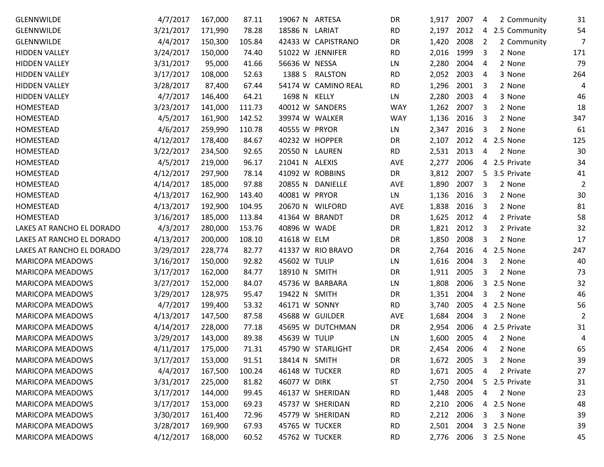| <b>GLENNWILDE</b>         | 4/7/2017  | 167,000 | 87.11  | 19067 N ARTESA      | DR         | 1,917      | 2007 | 2 Community<br>4              | 31  |
|---------------------------|-----------|---------|--------|---------------------|------------|------------|------|-------------------------------|-----|
| <b>GLENNWILDE</b>         | 3/21/2017 | 171,990 | 78.28  | 18586 N<br>LARIAT   | <b>RD</b>  | 2,197      | 2012 | 2.5 Community<br>4            | 54  |
| <b>GLENNWILDE</b>         | 4/4/2017  | 150,300 | 105.84 | 42433 W CAPISTRANO  | DR         | 1,420      | 2008 | $\overline{2}$<br>2 Community | 7   |
| <b>HIDDEN VALLEY</b>      | 3/24/2017 | 150,000 | 74.40  | 51022 W JENNIFER    | <b>RD</b>  | 2,016      | 1999 | 3<br>2 None                   | 171 |
| <b>HIDDEN VALLEY</b>      | 3/31/2017 | 95,000  | 41.66  | 56636 W NESSA       | LN         | 2,280      | 2004 | 4<br>2 None                   | 79  |
| <b>HIDDEN VALLEY</b>      | 3/17/2017 | 108,000 | 52.63  | 1388 S RALSTON      | <b>RD</b>  | 2,052      | 2003 | 3 None<br>4                   | 264 |
| <b>HIDDEN VALLEY</b>      | 3/28/2017 | 87,400  | 67.44  | 54174 W CAMINO REAL | <b>RD</b>  | 1,296      | 2001 | 3<br>2 None                   | 4   |
| <b>HIDDEN VALLEY</b>      | 4/7/2017  | 146,400 | 64.21  | 1698 N KELLY        | LN         | 2,280      | 2003 | 4<br>3 None                   | 46  |
| HOMESTEAD                 | 3/23/2017 | 141,000 | 111.73 | 40012 W SANDERS     | <b>WAY</b> | 1,262      | 2007 | 3<br>2 None                   | 18  |
| HOMESTEAD                 | 4/5/2017  | 161,900 | 142.52 | 39974 W WALKER      | <b>WAY</b> | 1,136      | 2016 | 3<br>2 None                   | 347 |
| HOMESTEAD                 | 4/6/2017  | 259,990 | 110.78 | 40555 W PRYOR       | LN         | 2,347      | 2016 | 3<br>2 None                   | 61  |
| HOMESTEAD                 | 4/12/2017 | 178,400 | 84.67  | 40232 W HOPPER      | DR         | 2,107      | 2012 | 2.5 None<br>4                 | 125 |
| HOMESTEAD                 | 3/22/2017 | 234,500 | 92.65  | 20550 N LAUREN      | <b>RD</b>  | 2,531      | 2013 | 2 None<br>4                   | 30  |
| HOMESTEAD                 | 4/5/2017  | 219,000 | 96.17  | 21041 N ALEXIS      | AVE        | 2,277      | 2006 | 2.5 Private<br>4              | 34  |
| HOMESTEAD                 | 4/12/2017 | 297,900 | 78.14  | 41092 W ROBBINS     | DR         | 3,812      | 2007 | 3.5 Private<br>5              | 41  |
| HOMESTEAD                 | 4/14/2017 | 185,000 | 97.88  | 20855 N DANIELLE    | AVE        | 1,890      | 2007 | 2 None<br>3                   | 2   |
| HOMESTEAD                 | 4/13/2017 | 162,900 | 143.40 | 40081 W PRYOR       | LN         | 1,136      | 2016 | 2 None<br>3                   | 30  |
| HOMESTEAD                 | 4/13/2017 | 192,900 | 104.95 | 20670 N WILFORD     | AVE        | 1,838      | 2016 | 3<br>2 None                   | 81  |
| HOMESTEAD                 | 3/16/2017 | 185,000 | 113.84 | 41364 W BRANDT      | DR         | 1,625      | 2012 | 2 Private<br>4                | 58  |
| LAKES AT RANCHO EL DORADO | 4/3/2017  | 280,000 | 153.76 | 40896 W WADE        | DR         | 1,821      | 2012 | 3<br>2 Private                | 32  |
| LAKES AT RANCHO EL DORADO | 4/13/2017 | 200,000 | 108.10 | 41618 W ELM         | DR         | 1,850      | 2008 | 3<br>2 None                   | 17  |
| LAKES AT RANCHO EL DORADO | 3/29/2017 | 228,774 | 82.77  | 41337 W RIO BRAVO   | DR         | 2,764      | 2016 | 2.5 None<br>4                 | 247 |
| <b>MARICOPA MEADOWS</b>   | 3/16/2017 | 150,000 | 92.82  | 45602 W TULIP       | LN         | 1,616      | 2004 | 3<br>2 None                   | 40  |
| <b>MARICOPA MEADOWS</b>   | 3/17/2017 | 162,000 | 84.77  | 18910 N SMITH       | DR         | 1,911      | 2005 | 2 None<br>3                   | 73  |
| <b>MARICOPA MEADOWS</b>   | 3/27/2017 | 152,000 | 84.07  | 45736 W BARBARA     | LN         | 1,808      | 2006 | 3<br>2.5 None                 | 32  |
| <b>MARICOPA MEADOWS</b>   | 3/29/2017 | 128,975 | 95.47  | 19422 N SMITH       | DR         | 1,351      | 2004 | 3<br>2 None                   | 46  |
| <b>MARICOPA MEADOWS</b>   | 4/7/2017  | 199,400 | 53.32  | 46171 W SONNY       | <b>RD</b>  | 3,740      | 2005 | 2.5 None<br>4                 | 56  |
| <b>MARICOPA MEADOWS</b>   | 4/13/2017 | 147,500 | 87.58  | 45688 W GUILDER     | AVE        | 1,684      | 2004 | 3<br>2 None                   | 2   |
| <b>MARICOPA MEADOWS</b>   | 4/14/2017 | 228,000 | 77.18  | 45695 W DUTCHMAN    | DR         | 2,954      | 2006 | 2.5 Private<br>4              | 31  |
| <b>MARICOPA MEADOWS</b>   | 3/29/2017 | 143,000 | 89.38  | 45639 W TULIP       | LN         | 1,600      | 2005 | 2 None<br>4                   | 4   |
| <b>MARICOPA MEADOWS</b>   | 4/11/2017 | 175,000 | 71.31  | 45790 W STARLIGHT   | DR         | 2,454      | 2006 | 2 None<br>4                   | 65  |
| <b>MARICOPA MEADOWS</b>   | 3/17/2017 | 153,000 | 91.51  | 18414 N SMITH       | DR         | 1,672 2005 |      | 3<br>2 None                   | 39  |
| <b>MARICOPA MEADOWS</b>   | 4/4/2017  | 167,500 | 100.24 | 46148 W TUCKER      | <b>RD</b>  | 1,671      | 2005 | 2 Private<br>4                | 27  |
| <b>MARICOPA MEADOWS</b>   | 3/31/2017 | 225,000 | 81.82  | 46077 W DIRK        | <b>ST</b>  | 2,750      | 2004 | 2.5 Private<br>5.             | 31  |
| <b>MARICOPA MEADOWS</b>   | 3/17/2017 | 144,000 | 99.45  | 46137 W SHERIDAN    | <b>RD</b>  | 1,448      | 2005 | 2 None<br>4                   | 23  |
| <b>MARICOPA MEADOWS</b>   | 3/17/2017 | 153,000 | 69.23  | 45737 W SHERIDAN    | <b>RD</b>  | 2,210      | 2006 | 4 2.5 None                    | 48  |
| <b>MARICOPA MEADOWS</b>   | 3/30/2017 | 161,400 | 72.96  | 45779 W SHERIDAN    | <b>RD</b>  | 2,212      | 2006 | 3 None<br>3                   | 39  |
| <b>MARICOPA MEADOWS</b>   | 3/28/2017 | 169,900 | 67.93  | 45765 W TUCKER      | <b>RD</b>  | 2,501      | 2004 | 3 2.5 None                    | 39  |
| <b>MARICOPA MEADOWS</b>   | 4/12/2017 | 168,000 | 60.52  | 45762 W TUCKER      | <b>RD</b>  | 2,776      | 2006 | 3 2.5 None                    | 45  |
|                           |           |         |        |                     |            |            |      |                               |     |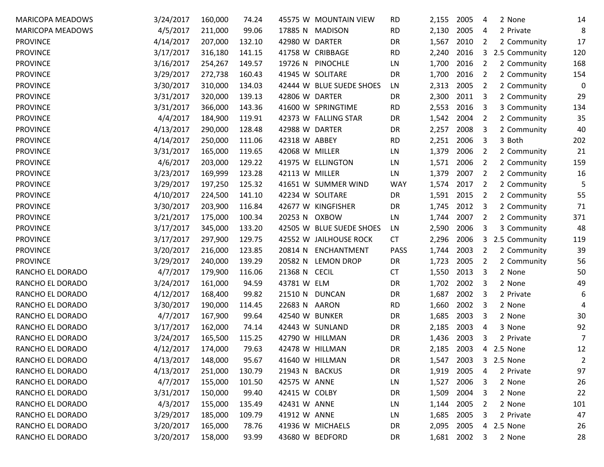| <b>MARICOPA MEADOWS</b> | 3/24/2017 | 160,000 | 74.24  | 45575 W MOUNTAIN VIEW         | <b>RD</b>   | 2,155      | 2005 | 2 None<br>4        | 14             |
|-------------------------|-----------|---------|--------|-------------------------------|-------------|------------|------|--------------------|----------------|
| <b>MARICOPA MEADOWS</b> | 4/5/2017  | 211,000 | 99.06  | 17885 N<br><b>MADISON</b>     | <b>RD</b>   | 2,130      | 2005 | 2 Private<br>4     | 8              |
| <b>PROVINCE</b>         | 4/14/2017 | 207,000 | 132.10 | 42980 W DARTER                | DR          | 1,567      | 2010 | 2<br>2 Community   | 17             |
| <b>PROVINCE</b>         | 3/17/2017 | 316,180 | 141.15 | 41758 W CRIBBAGE              | <b>RD</b>   | 2,240      | 2016 | 3<br>2.5 Community | 120            |
| <b>PROVINCE</b>         | 3/16/2017 | 254,267 | 149.57 | 19726 N PINOCHLE              | LN          | 1,700      | 2016 | 2<br>2 Community   | 168            |
| <b>PROVINCE</b>         | 3/29/2017 | 272,738 | 160.43 | 41945 W SOLITARE              | DR          | 1,700      | 2016 | 2<br>2 Community   | 154            |
| <b>PROVINCE</b>         | 3/30/2017 | 310,000 | 134.03 | 42444 W BLUE SUEDE SHOES      | LN          | 2,313      | 2005 | 2<br>2 Community   | 0              |
| <b>PROVINCE</b>         | 3/31/2017 | 320,000 | 139.13 | 42806 W DARTER                | DR          | 2,300      | 2011 | 3<br>2 Community   | 29             |
| <b>PROVINCE</b>         | 3/31/2017 | 366,000 | 143.36 | 41600 W SPRINGTIME            | <b>RD</b>   | 2,553      | 2016 | 3<br>3 Community   | 134            |
| <b>PROVINCE</b>         | 4/4/2017  | 184,900 | 119.91 | 42373 W FALLING STAR          | DR          | 1,542      | 2004 | 2<br>2 Community   | 35             |
| <b>PROVINCE</b>         | 4/13/2017 | 290,000 | 128.48 | 42988 W DARTER                | DR          | 2,257      | 2008 | 3<br>2 Community   | 40             |
| <b>PROVINCE</b>         | 4/14/2017 | 250,000 | 111.06 | 42318 W ABBEY                 | <b>RD</b>   | 2,251      | 2006 | 3 Both<br>3        | 202            |
| <b>PROVINCE</b>         | 3/31/2017 | 165,000 | 119.65 | 42068 W MILLER                | LN          | 1,379      | 2006 | 2<br>2 Community   | 21             |
| <b>PROVINCE</b>         | 4/6/2017  | 203,000 | 129.22 | 41975 W ELLINGTON             | LN          | 1,571      | 2006 | 2<br>2 Community   | 159            |
| <b>PROVINCE</b>         | 3/23/2017 | 169,999 | 123.28 | 42113 W MILLER                | LN          | 1,379      | 2007 | 2<br>2 Community   | 16             |
| <b>PROVINCE</b>         | 3/29/2017 | 197,250 | 125.32 | 41651 W SUMMER WIND           | <b>WAY</b>  | 1,574      | 2017 | 2<br>2 Community   | 5              |
| <b>PROVINCE</b>         | 4/10/2017 | 224,500 | 141.10 | 42234 W SOLITARE              | DR          | 1,591      | 2015 | 2<br>2 Community   | 55             |
| <b>PROVINCE</b>         | 3/30/2017 | 203,900 | 116.84 | 42677 W KINGFISHER            | DR          | 1,745      | 2012 | 3<br>2 Community   | 71             |
| <b>PROVINCE</b>         | 3/21/2017 | 175,000 | 100.34 | 20253 N<br><b>OXBOW</b>       | LN          | 1,744      | 2007 | 2<br>2 Community   | 371            |
| <b>PROVINCE</b>         | 3/17/2017 | 345,000 | 133.20 | 42505 W BLUE SUEDE SHOES      | LN          | 2,590      | 2006 | 3<br>3 Community   | 48             |
| <b>PROVINCE</b>         | 3/17/2017 | 297,900 | 129.75 | 42552 W JAILHOUSE ROCK        | <b>CT</b>   | 2,296      | 2006 | 3<br>2.5 Community | 119            |
| <b>PROVINCE</b>         | 3/20/2017 | 216,000 | 123.85 | <b>ENCHANTMENT</b><br>20814 N | <b>PASS</b> | 1,744      | 2003 | 2 Community<br>2   | 39             |
| <b>PROVINCE</b>         | 3/29/2017 | 240,000 | 139.29 | 20582 N<br><b>LEMON DROP</b>  | DR          | 1,723      | 2005 | 2<br>2 Community   | 56             |
| RANCHO EL DORADO        | 4/7/2017  | 179,900 | 116.06 | 21368 N<br><b>CECIL</b>       | <b>CT</b>   | 1,550      | 2013 | 3<br>2 None        | 50             |
| RANCHO EL DORADO        | 3/24/2017 | 161,000 | 94.59  | 43781 W ELM                   | DR          | 1,702      | 2002 | 3<br>2 None        | 49             |
| RANCHO EL DORADO        | 4/12/2017 | 168,400 | 99.82  | 21510 N<br><b>DUNCAN</b>      | DR          | 1,687      | 2002 | 2 Private<br>3     | 6              |
| RANCHO EL DORADO        | 3/30/2017 | 190,000 | 114.45 | 22683 N<br>AARON              | <b>RD</b>   | 1,660      | 2002 | 2 None<br>3        | 4              |
| RANCHO EL DORADO        | 4/7/2017  | 167,900 | 99.64  | 42540 W BUNKER                | DR          | 1,685      | 2003 | 3<br>2 None        | 30             |
| RANCHO EL DORADO        | 3/17/2017 | 162,000 | 74.14  | 42443 W SUNLAND               | DR          | 2,185      | 2003 | 4<br>3 None        | 92             |
| RANCHO EL DORADO        | 3/24/2017 | 165,500 | 115.25 | 42790 W HILLMAN               | DR          | 1,436      | 2003 | 2 Private<br>3     | 7              |
| RANCHO EL DORADO        | 4/12/2017 | 174,000 | 79.63  | 42478 W HILLMAN               | DR          | 2,185      | 2003 | 2.5 None<br>4      | 12             |
| RANCHO EL DORADO        | 4/13/2017 | 148,000 | 95.67  | 41640 W HILLMAN               | DR          | 1,547      | 2003 | 2.5 None<br>3      | $\overline{2}$ |
| RANCHO EL DORADO        | 4/13/2017 | 251,000 | 130.79 | 21943 N BACKUS                | DR          | 1,919      | 2005 | 2 Private<br>4     | 97             |
| RANCHO EL DORADO        | 4/7/2017  | 155,000 | 101.50 | 42575 W ANNE                  | LN          | 1,527      | 2006 | 2 None<br>3        | 26             |
| RANCHO EL DORADO        | 3/31/2017 | 150,000 | 99.40  | 42415 W COLBY                 | DR          | 1,509      | 2004 | 2 None<br>3        | 22             |
| RANCHO EL DORADO        | 4/3/2017  | 155,000 | 135.49 | 42431 W ANNE                  | LN          | 1,144      | 2005 | 2<br>2 None        | 101            |
| RANCHO EL DORADO        | 3/29/2017 | 185,000 | 109.79 | 41912 W ANNE                  | LN          | 1,685      | 2005 | 2 Private<br>3     | 47             |
| RANCHO EL DORADO        | 3/20/2017 | 165,000 | 78.76  | 41936 W MICHAELS              | DR          | 2,095      | 2005 | 2.5 None<br>4      | 26             |
| RANCHO EL DORADO        | 3/20/2017 | 158,000 | 93.99  | 43680 W BEDFORD               | DR          | 1,681 2002 |      | 2 None<br>3        | 28             |
|                         |           |         |        |                               |             |            |      |                    |                |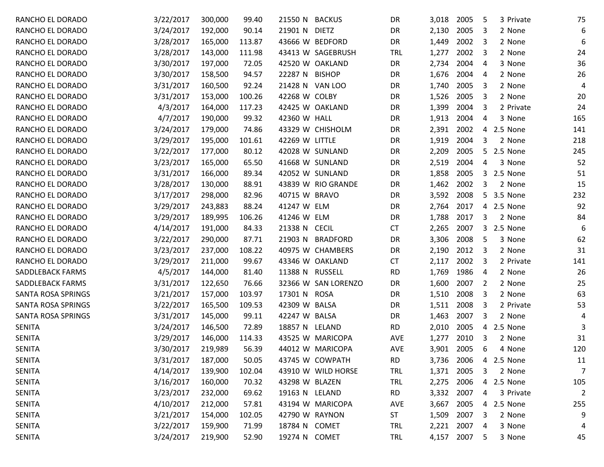| RANCHO EL DORADO          | 3/22/2017 | 300,000 | 99.40  | 21550 N BACKUS          | <b>DR</b>  | 3,018      | 2005       | 3 Private<br>5 | 75             |
|---------------------------|-----------|---------|--------|-------------------------|------------|------------|------------|----------------|----------------|
| RANCHO EL DORADO          | 3/24/2017 | 192,000 | 90.14  | 21901 N<br><b>DIETZ</b> | DR         | 2,130      | 2005       | 2 None<br>3    | 6              |
| RANCHO EL DORADO          | 3/28/2017 | 165,000 | 113.87 | 43666 W BEDFORD         | DR         | 1,449      | 2002       | 3<br>2 None    | 6              |
| RANCHO EL DORADO          | 3/28/2017 | 143,000 | 111.98 | 43413 W SAGEBRUSH       | <b>TRL</b> | 1,277      | 2002       | 3<br>2 None    | 24             |
| RANCHO EL DORADO          | 3/30/2017 | 197,000 | 72.05  | 42520 W OAKLAND         | DR         | 2,734      | 2004       | 4<br>3 None    | 36             |
| RANCHO EL DORADO          | 3/30/2017 | 158,500 | 94.57  | 22287 N BISHOP          | DR         | 1,676      | 2004       | 4<br>2 None    | 26             |
| RANCHO EL DORADO          | 3/31/2017 | 160,500 | 92.24  | 21428 N VAN LOO         | DR         | 1,740      | 2005       | 3<br>2 None    | 4              |
| RANCHO EL DORADO          | 3/31/2017 | 153,000 | 100.26 | 42268 W COLBY           | DR         | 1,526      | 2005       | 3<br>2 None    | 20             |
| RANCHO EL DORADO          | 4/3/2017  | 164,000 | 117.23 | 42425 W OAKLAND         | DR         | 1,399      | 2004       | 3<br>2 Private | 24             |
| RANCHO EL DORADO          | 4/7/2017  | 190,000 | 99.32  | 42360 W HALL            | DR         | 1,913      | 2004       | 4<br>3 None    | 165            |
| RANCHO EL DORADO          | 3/24/2017 | 179,000 | 74.86  | 43329 W CHISHOLM        | DR         | 2,391      | 2002       | 2.5 None<br>4  | 141            |
| RANCHO EL DORADO          | 3/29/2017 | 195,000 | 101.61 | 42269 W LITTLE          | DR         | 1,919      | 2004       | 2 None<br>3    | 218            |
| RANCHO EL DORADO          | 3/22/2017 | 177,000 | 80.12  | 42028 W SUNLAND         | DR         | 2,209      | 2005       | 5.<br>2.5 None | 245            |
| RANCHO EL DORADO          | 3/23/2017 | 165,000 | 65.50  | 41668 W SUNLAND         | DR         | 2,519      | 2004       | 3 None<br>4    | 52             |
| RANCHO EL DORADO          | 3/31/2017 | 166,000 | 89.34  | 42052 W SUNLAND         | DR         | 1,858      | 2005       | 2.5 None<br>3  | 51             |
| RANCHO EL DORADO          | 3/28/2017 | 130,000 | 88.91  | 43839 W RIO GRANDE      | DR         | 1,462      | 2002       | 3<br>2 None    | 15             |
| RANCHO EL DORADO          | 3/17/2017 | 298,000 | 82.96  | 40715 W BRAVO           | DR         | 3,592      | 2008       | 3.5 None<br>5. | 232            |
| RANCHO EL DORADO          | 3/29/2017 | 243,883 | 88.24  | 41247 W ELM             | DR         | 2,764      | 2017       | 2.5 None<br>4  | 92             |
| RANCHO EL DORADO          | 3/29/2017 | 189,995 | 106.26 | 41246 W ELM             | DR         | 1,788      | 2017       | 3<br>2 None    | 84             |
| RANCHO EL DORADO          | 4/14/2017 | 191,000 | 84.33  | 21338 N CECIL           | <b>CT</b>  | 2,265      | 2007       | 3<br>2.5 None  | 6              |
| RANCHO EL DORADO          | 3/22/2017 | 290,000 | 87.71  | 21903 N BRADFORD        | DR         | 3,306      | 2008       | 3 None<br>5    | 62             |
| RANCHO EL DORADO          | 3/23/2017 | 237,000 | 108.22 | 40975 W CHAMBERS        | DR         | 2,190      | 2012       | 2 None<br>3    | 31             |
| RANCHO EL DORADO          | 3/29/2017 | 211,000 | 99.67  | 43346 W OAKLAND         | <b>CT</b>  | 2,117      | 2002       | 3<br>2 Private | 141            |
| SADDLEBACK FARMS          | 4/5/2017  | 144,000 | 81.40  | 11388 N RUSSELL         | <b>RD</b>  | 1,769      | 1986       | 2 None<br>4    | 26             |
| SADDLEBACK FARMS          | 3/31/2017 | 122,650 | 76.66  | 32366 W SAN LORENZO     | DR         | 1,600      | 2007       | 2<br>2 None    | 25             |
| SANTA ROSA SPRINGS        | 3/21/2017 | 157,000 | 103.97 | 17301 N ROSA            | DR         | 1,510      | 2008       | 3<br>2 None    | 63             |
| SANTA ROSA SPRINGS        | 3/22/2017 | 165,500 | 109.53 | 42309 W BALSA           | DR         | 1,511      | 2008       | 3<br>2 Private | 53             |
| <b>SANTA ROSA SPRINGS</b> | 3/31/2017 | 145,000 | 99.11  | 42247 W BALSA           | DR         | 1,463      | 2007       | 3<br>2 None    | 4              |
| <b>SENITA</b>             | 3/24/2017 | 146,500 | 72.89  | 18857 N LELAND          | <b>RD</b>  | 2,010      | 2005       | 2.5 None<br>4  | 3              |
| <b>SENITA</b>             | 3/29/2017 | 146,000 | 114.33 | 43525 W MARICOPA        | <b>AVE</b> | 1,277      | 2010       | 2 None<br>3    | 31             |
| <b>SENITA</b>             | 3/30/2017 | 219,989 | 56.39  | 44012 W MARICOPA        | <b>AVE</b> | 3,901      | 2005       | 6<br>4 None    | 120            |
| <b>SENITA</b>             | 3/31/2017 | 187,000 | 50.05  | 43745 W COWPATH         | <b>RD</b>  | 3,736 2006 |            | 2.5 None<br>4  | 11             |
| <b>SENITA</b>             | 4/14/2017 | 139,900 | 102.04 | 43910 W WILD HORSE      | <b>TRL</b> | 1,371      | 2005       | 2 None<br>3    | $\overline{7}$ |
| <b>SENITA</b>             | 3/16/2017 | 160,000 | 70.32  | 43298 W BLAZEN          | <b>TRL</b> | 2,275 2006 |            | 2.5 None<br>4  | 105            |
| <b>SENITA</b>             | 3/23/2017 | 232,000 | 69.62  | 19163 N LELAND          | <b>RD</b>  | 3,332      | 2007       | 3 Private<br>4 | $\overline{2}$ |
| <b>SENITA</b>             | 4/10/2017 | 212,000 | 57.81  | 43194 W MARICOPA        | AVE        | 3,667      | 2005       | 4 2.5 None     | 255            |
| <b>SENITA</b>             | 3/21/2017 | 154,000 | 102.05 | 42790 W RAYNON          | ST         | 1,509      | 2007       | 2 None<br>3    | 9              |
| <b>SENITA</b>             | 3/22/2017 | 159,900 | 71.99  | 18784 N COMET           | <b>TRL</b> | 2,221      | 2007       | 3 None<br>4    | 4              |
| <b>SENITA</b>             | 3/24/2017 | 219,900 | 52.90  | 19274 N COMET           | <b>TRL</b> |            | 4,157 2007 | 3 None<br>5    | 45             |
|                           |           |         |        |                         |            |            |            |                |                |